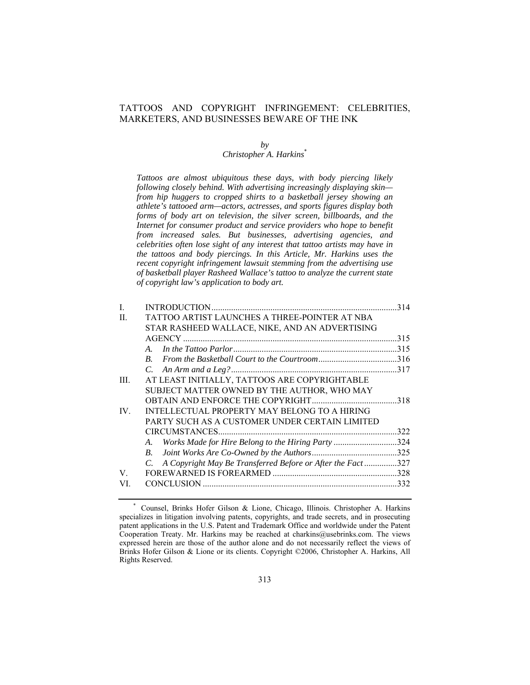# TATTOOS AND COPYRIGHT INFRINGEMENT: CELEBRITIES, MARKETERS, AND BUSINESSES BEWARE OF THE INK

# *by*

# *Christopher A. Harkins*\*

*Tattoos are almost ubiquitous these days, with body piercing likely following closely behind. With advertising increasingly displaying skin from hip huggers to cropped shirts to a basketball jersey showing an athlete's tattooed arm—actors, actresses, and sports figures display both forms of body art on television, the silver screen, billboards, and the Internet for consumer product and service providers who hope to benefit from increased sales. But businesses, advertising agencies, and celebrities often lose sight of any interest that tattoo artists may have in the tattoos and body piercings. In this Article, Mr. Harkins uses the recent copyright infringement lawsuit stemming from the advertising use of basketball player Rasheed Wallace's tattoo to analyze the current state of copyright law's application to body art.* 

| L    |                                                                        | 314 |
|------|------------------------------------------------------------------------|-----|
| П.   | TATTOO ARTIST LAUNCHES A THREE-POINTER AT NBA                          |     |
|      | STAR RASHEED WALLACE, NIKE, AND AN ADVERTISING                         |     |
|      | <b>AGENCY</b>                                                          | 315 |
|      | $A_{\cdot}$                                                            | 315 |
|      | $B_{\cdot}$                                                            | 316 |
|      |                                                                        | 317 |
| III. | AT LEAST INITIALLY, TATTOOS ARE COPYRIGHTABLE                          |     |
|      | SUBJECT MATTER OWNED BY THE AUTHOR, WHO MAY                            |     |
|      |                                                                        |     |
| IV   | INTELLECTUAL PROPERTY MAY BELONG TO A HIRING                           |     |
|      | PARTY SUCH AS A CUSTOMER UNDER CERTAIN LIMITED                         |     |
|      |                                                                        | 322 |
|      | A. Works Made for Hire Belong to the Hiring Party                      | 324 |
|      | $R_{\cdot}$                                                            |     |
|      | A Copyright May Be Transferred Before or After the Fact<br>$C_{\cdot}$ | 327 |
| V.   |                                                                        |     |
| VI   | <b>CONCLUSION</b>                                                      | 332 |
|      |                                                                        |     |

<sup>\*</sup> Counsel, Brinks Hofer Gilson & Lione, Chicago, Illinois. Christopher A. Harkins specializes in litigation involving patents, copyrights, and trade secrets, and in prosecuting patent applications in the U.S. Patent and Trademark Office and worldwide under the Patent Cooperation Treaty. Mr. Harkins may be reached at charkins@usebrinks.com. The views expressed herein are those of the author alone and do not necessarily reflect the views of Brinks Hofer Gilson & Lione or its clients. Copyright ©2006, Christopher A. Harkins, All Rights Reserved.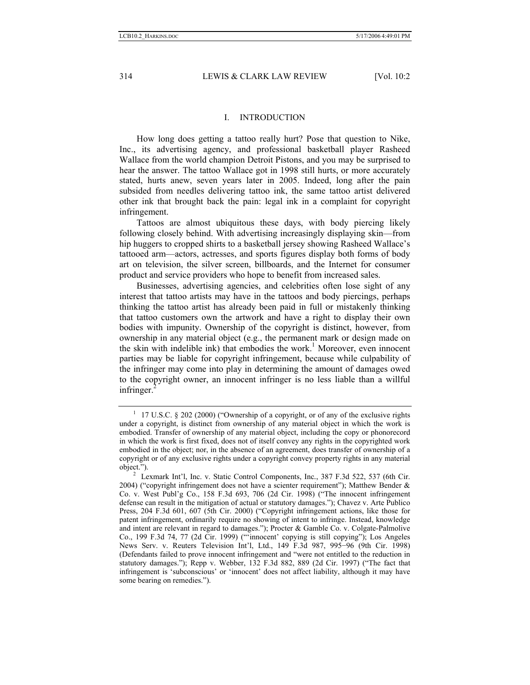### I. INTRODUCTION

How long does getting a tattoo really hurt? Pose that question to Nike, Inc., its advertising agency, and professional basketball player Rasheed Wallace from the world champion Detroit Pistons, and you may be surprised to hear the answer. The tattoo Wallace got in 1998 still hurts, or more accurately stated, hurts anew, seven years later in 2005. Indeed, long after the pain subsided from needles delivering tattoo ink, the same tattoo artist delivered other ink that brought back the pain: legal ink in a complaint for copyright infringement.

Tattoos are almost ubiquitous these days, with body piercing likely following closely behind. With advertising increasingly displaying skin—from hip huggers to cropped shirts to a basketball jersey showing Rasheed Wallace's tattooed arm—actors, actresses, and sports figures display both forms of body art on television, the silver screen, billboards, and the Internet for consumer product and service providers who hope to benefit from increased sales.

Businesses, advertising agencies, and celebrities often lose sight of any interest that tattoo artists may have in the tattoos and body piercings, perhaps thinking the tattoo artist has already been paid in full or mistakenly thinking that tattoo customers own the artwork and have a right to display their own bodies with impunity. Ownership of the copyright is distinct, however, from ownership in any material object (e.g., the permanent mark or design made on the skin with indelible ink) that embodies the work.<sup>1</sup> Moreover, even innocent parties may be liable for copyright infringement, because while culpability of the infringer may come into play in determining the amount of damages owed to the copyright owner, an innocent infringer is no less liable than a willful infringer. $<sup>2</sup>$ </sup>

<sup>&</sup>lt;sup>1</sup> 17 U.S.C. § 202 (2000) ("Ownership of a copyright, or of any of the exclusive rights under a copyright, is distinct from ownership of any material object in which the work is embodied. Transfer of ownership of any material object, including the copy or phonorecord in which the work is first fixed, does not of itself convey any rights in the copyrighted work embodied in the object; nor, in the absence of an agreement, does transfer of ownership of a copyright or of any exclusive rights under a copyright convey property rights in any material

object."). 2 Lexmark Int'l, Inc. v. Static Control Components, Inc*.*, 387 F.3d 522, 537 (6th Cir. 2004) ("copyright infringement does not have a scienter requirement"); Matthew Bender  $\&$ Co. v. West Publ'g Co., 158 F.3d 693, 706 (2d Cir. 1998) ("The innocent infringement defense can result in the mitigation of actual or statutory damages."); Chavez v. Arte Publico Press, 204 F.3d 601, 607 (5th Cir. 2000) ("Copyright infringement actions, like those for patent infringement, ordinarily require no showing of intent to infringe. Instead, knowledge and intent are relevant in regard to damages."); Procter & Gamble Co. v. Colgate-Palmolive Co., 199 F.3d 74, 77 (2d Cir. 1999) ("'innocent' copying is still copying"); Los Angeles News Serv. v. Reuters Television Int'l, Ltd., 149 F.3d 987, 995−96 (9th Cir. 1998) (Defendants failed to prove innocent infringement and "were not entitled to the reduction in statutory damages."); Repp v. Webber, 132 F.3d 882, 889 (2d Cir. 1997) ("The fact that infringement is 'subconscious' or 'innocent' does not affect liability, although it may have some bearing on remedies.").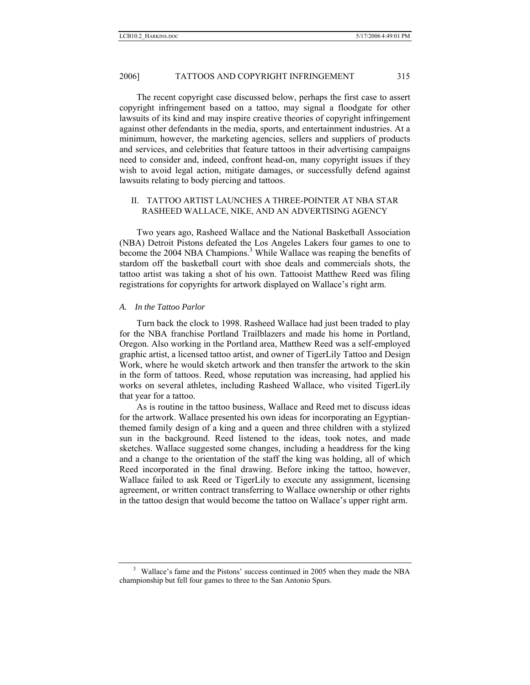The recent copyright case discussed below, perhaps the first case to assert copyright infringement based on a tattoo, may signal a floodgate for other lawsuits of its kind and may inspire creative theories of copyright infringement against other defendants in the media, sports, and entertainment industries. At a minimum, however, the marketing agencies, sellers and suppliers of products and services, and celebrities that feature tattoos in their advertising campaigns need to consider and, indeed, confront head-on, many copyright issues if they wish to avoid legal action, mitigate damages, or successfully defend against lawsuits relating to body piercing and tattoos.

# II. TATTOO ARTIST LAUNCHES A THREE-POINTER AT NBA STAR RASHEED WALLACE, NIKE, AND AN ADVERTISING AGENCY

Two years ago, Rasheed Wallace and the National Basketball Association (NBA) Detroit Pistons defeated the Los Angeles Lakers four games to one to become the 2004 NBA Champions.<sup>3</sup> While Wallace was reaping the benefits of stardom off the basketball court with shoe deals and commercials shots, the tattoo artist was taking a shot of his own. Tattooist Matthew Reed was filing registrations for copyrights for artwork displayed on Wallace's right arm.

#### *A. In the Tattoo Parlor*

Turn back the clock to 1998. Rasheed Wallace had just been traded to play for the NBA franchise Portland Trailblazers and made his home in Portland, Oregon. Also working in the Portland area, Matthew Reed was a self-employed graphic artist, a licensed tattoo artist, and owner of TigerLily Tattoo and Design Work, where he would sketch artwork and then transfer the artwork to the skin in the form of tattoos. Reed, whose reputation was increasing, had applied his works on several athletes, including Rasheed Wallace, who visited TigerLily that year for a tattoo.

As is routine in the tattoo business, Wallace and Reed met to discuss ideas for the artwork. Wallace presented his own ideas for incorporating an Egyptianthemed family design of a king and a queen and three children with a stylized sun in the background. Reed listened to the ideas, took notes, and made sketches. Wallace suggested some changes, including a headdress for the king and a change to the orientation of the staff the king was holding, all of which Reed incorporated in the final drawing. Before inking the tattoo, however, Wallace failed to ask Reed or TigerLily to execute any assignment, licensing agreement, or written contract transferring to Wallace ownership or other rights in the tattoo design that would become the tattoo on Wallace's upper right arm.

<sup>&</sup>lt;sup>3</sup> Wallace's fame and the Pistons' success continued in 2005 when they made the NBA championship but fell four games to three to the San Antonio Spurs.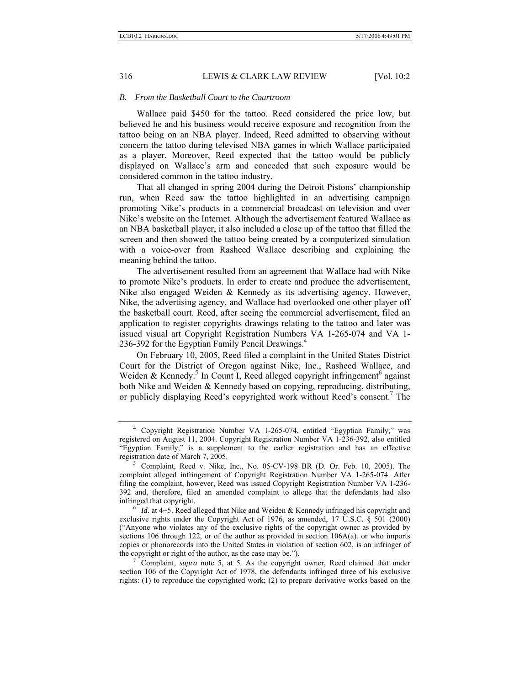#### *B. From the Basketball Court to the Courtroom*

Wallace paid \$450 for the tattoo. Reed considered the price low, but believed he and his business would receive exposure and recognition from the tattoo being on an NBA player. Indeed, Reed admitted to observing without concern the tattoo during televised NBA games in which Wallace participated as a player. Moreover, Reed expected that the tattoo would be publicly displayed on Wallace's arm and conceded that such exposure would be considered common in the tattoo industry.

That all changed in spring 2004 during the Detroit Pistons' championship run, when Reed saw the tattoo highlighted in an advertising campaign promoting Nike's products in a commercial broadcast on television and over Nike's website on the Internet. Although the advertisement featured Wallace as an NBA basketball player, it also included a close up of the tattoo that filled the screen and then showed the tattoo being created by a computerized simulation with a voice-over from Rasheed Wallace describing and explaining the meaning behind the tattoo.

The advertisement resulted from an agreement that Wallace had with Nike to promote Nike's products. In order to create and produce the advertisement, Nike also engaged Weiden & Kennedy as its advertising agency. However, Nike, the advertising agency, and Wallace had overlooked one other player off the basketball court. Reed, after seeing the commercial advertisement, filed an application to register copyrights drawings relating to the tattoo and later was issued visual art Copyright Registration Numbers VA 1-265-074 and VA 1- 236-392 for the Egyptian Family Pencil Drawings.<sup>4</sup>

On February 10, 2005, Reed filed a complaint in the United States District Court for the District of Oregon against Nike, Inc., Rasheed Wallace, and Weiden & Kennedy.<sup>5</sup> In Count I, Reed alleged copyright infringement<sup>6</sup> against both Nike and Weiden & Kennedy based on copying, reproducing, distributing, or publicly displaying Reed's copyrighted work without Reed's consent.7 The

section 106 of the Copyright Act of 1978, the defendants infringed three of his exclusive rights: (1) to reproduce the copyrighted work; (2) to prepare derivative works based on the

<sup>4</sup> Copyright Registration Number VA 1-265-074, entitled "Egyptian Family," was registered on August 11, 2004. Copyright Registration Number VA 1-236-392, also entitled "Egyptian Family," is a supplement to the earlier registration and has an effective registration date of March 7, 2005.<br><sup>5</sup> Complaint, Reed v. Nike, Inc., No. 05-CV-198 BR (D. Or. Feb. 10, 2005). The

complaint alleged infringement of Copyright Registration Number VA 1-265-074. After filing the complaint, however, Reed was issued Copyright Registration Number VA 1-236- 392 and, therefore, filed an amended complaint to allege that the defendants had also infringed that copyright. 6 *Id*. at 4−5. Reed alleged that Nike and Weiden & Kennedy infringed his copyright and

exclusive rights under the Copyright Act of 1976, as amended, 17 U.S.C. § 501 (2000) ("Anyone who violates any of the exclusive rights of the copyright owner as provided by sections 106 through 122, or of the author as provided in section  $106A(a)$ , or who imports copies or phonorecords into the United States in violation of section 602, is an infringer of the copyright or right of the author, as the case may be.").<br><sup>7</sup> Complaint, *supra* note 5, at 5. As the copyright owner, Reed claimed that under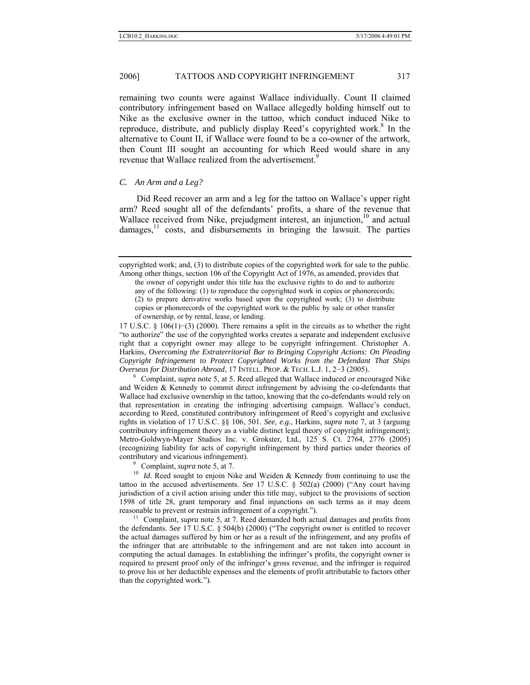#### 2006] TATTOOS AND COPYRIGHT INFRINGEMENT 317

remaining two counts were against Wallace individually. Count II claimed contributory infringement based on Wallace allegedly holding himself out to Nike as the exclusive owner in the tattoo, which conduct induced Nike to reproduce, distribute, and publicly display Reed's copyrighted work.<sup>8</sup> In the alternative to Count II, if Wallace were found to be a co-owner of the artwork, then Count III sought an accounting for which Reed would share in any revenue that Wallace realized from the advertisement.<sup>9</sup>

### *C. An Arm and a Leg?*

Did Reed recover an arm and a leg for the tattoo on Wallace's upper right arm? Reed sought all of the defendants' profits, a share of the revenue that Wallace received from Nike, prejudgment interest, an injunction,<sup>10</sup> and actual  $damages<sup>11</sup> costs, and disbursements in bringing the law suit. The parties$ 

of ownership, or by rental, lease, or lending.

17 U.S.C. § 106(1)−(3) (2000). There remains a split in the circuits as to whether the right "to authorize" the use of the copyrighted works creates a separate and independent exclusive right that a copyright owner may allege to be copyright infringement. Christopher A. Harkins, *Overcoming the Extraterritorial Bar to Bringing Copyright Actions: On Pleading Copyright Infringement to Protect Copyrighted Works from the Defendant That Ships* 

<sup>8</sup> Complaint, *supra* note 5, at 5. Reed alleged that Wallace induced or encouraged Nike and Weiden & Kennedy to commit direct infringement by advising the co-defendants that Wallace had exclusive ownership in the tattoo, knowing that the co-defendants would rely on that representation in creating the infringing advertising campaign. Wallace's conduct, according to Reed, constituted contributory infringement of Reed's copyright and exclusive rights in violation of 17 U.S.C. §§ 106, 501. *See, e.g.*, Harkins, *supra* note 7, at 3 (arguing contributory infringement theory as a viable distinct legal theory of copyright infringement); Metro-Goldwyn-Mayer Studios Inc. v. Grokster, Ltd*.*, 125 S. Ct. 2764, 2776 (2005) (recognizing liability for acts of copyright infringement by third parties under theories of contributory and vicarious infringement).<br><sup>9</sup> Complaint, *supra* note 5, at 7.<br><sup>10</sup> *Id*. Reed sought to enjoin Nike and Weiden & Kennedy from continuing to use the

tattoo in the accused advertisements. *See* 17 U.S.C. § 502(a) (2000) ("Any court having jurisdiction of a civil action arising under this title may, subject to the provisions of section 1598 of title 28, grant temporary and final injunctions on such terms as it may deem

reasonable to prevent or restrain infringement of a copyright."). 11 Complaint, *supra* note 5, at 7. Reed demanded both actual damages and profits from the defendants. *See* 17 U.S.C. § 504(b) (2000) ("The copyright owner is entitled to recover the actual damages suffered by him or her as a result of the infringement, and any profits of the infringer that are attributable to the infringement and are not taken into account in computing the actual damages. In establishing the infringer's profits, the copyright owner is required to present proof only of the infringer's gross revenue, and the infringer is required to prove his or her deductible expenses and the elements of profit attributable to factors other than the copyrighted work.").

copyrighted work; and, (3) to distribute copies of the copyrighted work for sale to the public. Among other things, section 106 of the Copyright Act of 1976, as amended, provides that

the owner of copyright under this title has the exclusive rights to do and to authorize any of the following: (1) to reproduce the copyrighted work in copies or phonorecords; (2) to prepare derivative works based upon the copyrighted work; (3) to distribute copies or phonorecords of the copyrighted work to the public by sale or other transfer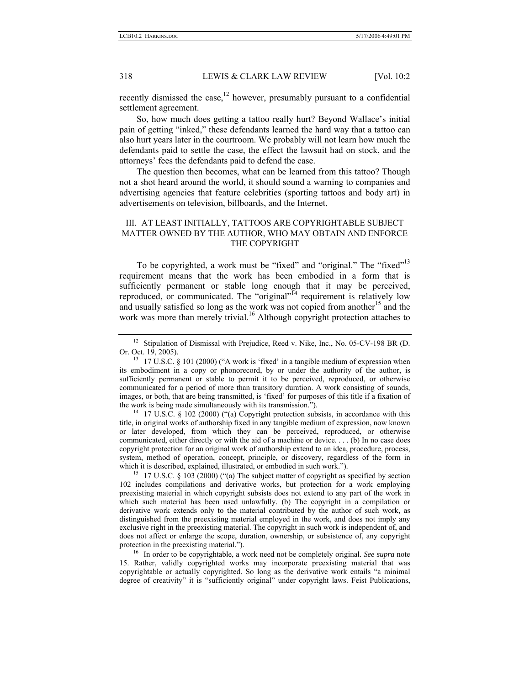recently dismissed the case, $^{12}$  however, presumably pursuant to a confidential settlement agreement.

So, how much does getting a tattoo really hurt? Beyond Wallace's initial pain of getting "inked," these defendants learned the hard way that a tattoo can also hurt years later in the courtroom. We probably will not learn how much the defendants paid to settle the case, the effect the lawsuit had on stock, and the attorneys' fees the defendants paid to defend the case.

The question then becomes, what can be learned from this tattoo? Though not a shot heard around the world, it should sound a warning to companies and advertising agencies that feature celebrities (sporting tattoos and body art) in advertisements on television, billboards, and the Internet.

# III. AT LEAST INITIALLY, TATTOOS ARE COPYRIGHTABLE SUBJECT MATTER OWNED BY THE AUTHOR, WHO MAY OBTAIN AND ENFORCE THE COPYRIGHT

To be copyrighted, a work must be "fixed" and "original." The "fixed"<sup>13</sup> requirement means that the work has been embodied in a form that is sufficiently permanent or stable long enough that it may be perceived, reproduced, or communicated. The "original"<sup>14</sup> requirement is relatively low and usually satisfied so long as the work was not copied from another<sup>15</sup> and the work was more than merely trivial.<sup>16</sup> Although copyright protection attaches to

title, in original works of authorship fixed in any tangible medium of expression, now known or later developed, from which they can be perceived, reproduced, or otherwise communicated, either directly or with the aid of a machine or device. . . . (b) In no case does copyright protection for an original work of authorship extend to an idea, procedure, process, system, method of operation, concept, principle, or discovery, regardless of the form in which it is described, explained, illustrated, or embodied in such work.").<br><sup>15</sup> 17 U.S.C. § 103 (2000) ("(a) The subject matter of copyright as specified by section

102 includes compilations and derivative works, but protection for a work employing preexisting material in which copyright subsists does not extend to any part of the work in which such material has been used unlawfully. (b) The copyright in a compilation or derivative work extends only to the material contributed by the author of such work, as distinguished from the preexisting material employed in the work, and does not imply any exclusive right in the preexisting material. The copyright in such work is independent of, and does not affect or enlarge the scope, duration, ownership, or subsistence of, any copyright protection in the preexisting material."). 16 In order to be copyrightable, a work need not be completely original. *See supra* note

15. Rather, validly copyrighted works may incorporate preexisting material that was copyrightable or actually copyrighted. So long as the derivative work entails "a minimal degree of creativity" it is "sufficiently original" under copyright laws. Feist Publications,

<sup>&</sup>lt;sup>12</sup> Stipulation of Dismissal with Prejudice, Reed v. Nike, Inc., No. 05-CV-198 BR (D. Or. Oct. 19, 2005).  $13 \quad 17 \text{ U.S.C. }$  § 101 (2000) ("A work is 'fixed' in a tangible medium of expression when

its embodiment in a copy or phonorecord, by or under the authority of the author, is sufficiently permanent or stable to permit it to be perceived, reproduced, or otherwise communicated for a period of more than transitory duration. A work consisting of sounds, images, or both, that are being transmitted, is 'fixed' for purposes of this title if a fixation of the work is being made simultaneously with its transmission.").<br><sup>14</sup> 17 U.S.C. § 102 (2000) ("(a) Copyright protection subsists, in accordance with this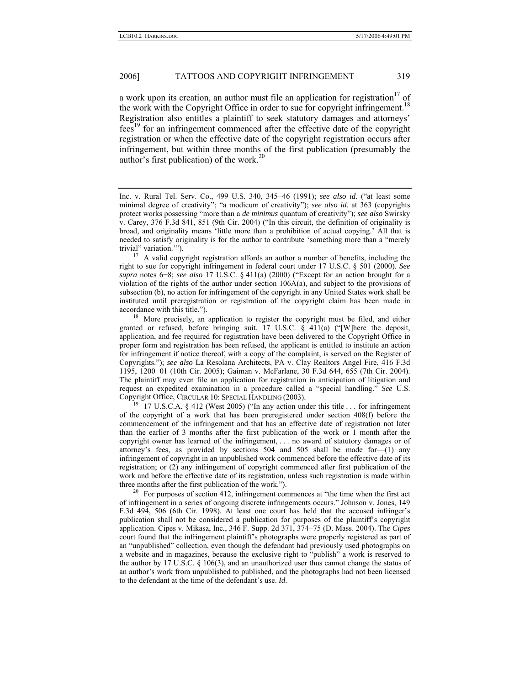a work upon its creation, an author must file an application for registration<sup>17</sup> of the work with the Copyright Office in order to sue for copyright infringement.<sup>18</sup> Registration also entitles a plaintiff to seek statutory damages and attorneys' fees<sup>19</sup> for an infringement commenced after the effective date of the copyright registration or when the effective date of the copyright registration occurs after infringement, but within three months of the first publication (presumably the author's first publication) of the work. $^{20}$ 

granted or refused, before bringing suit. 17 U.S.C.  $\hat{\S}$  411(a) ("[W]here the deposit, application, and fee required for registration have been delivered to the Copyright Office in proper form and registration has been refused, the applicant is entitled to institute an action for infringement if notice thereof, with a copy of the complaint, is served on the Register of Copyrights."); *see also* La Resolana Architects, PA v. Clay Realtors Angel Fire, 416 F.3d 1195, 1200−01 (10th Cir. 2005); Gaiman v. McFarlane, 30 F.3d 644, 655 (7th Cir. 2004). The plaintiff may even file an application for registration in anticipation of litigation and request an expedited examination in a procedure called a "special handling." *See* U.S. Copyright Office, CIRCULAR 10: SPECIAL HANDLING (2003).<br><sup>19</sup> 17 U.S.C.A. § 412 (West 2005) ("In any action under this title . . . for infringement

of the copyright of a work that has been preregistered under section  $408(f)$  before the commencement of the infringement and that has an effective date of registration not later than the earlier of 3 months after the first publication of the work or 1 month after the copyright owner has learned of the infringement, . . . no award of statutory damages or of attorney's fees, as provided by sections 504 and 505 shall be made for—(1) any infringement of copyright in an unpublished work commenced before the effective date of its registration; or (2) any infringement of copyright commenced after first publication of the work and before the effective date of its registration, unless such registration is made within three months after the first publication of the work.").<br><sup>20</sup> For purposes of section 412, infringement commences at "the time when the first act

of infringement in a series of ongoing discrete infringements occurs." Johnson v. Jones, 149 F.3d 494, 506 (6th Cir. 1998). At least one court has held that the accused infringer's publication shall not be considered a publication for purposes of the plaintiff's copyright application. Cipes v. Mikasa, Inc*.*, 346 F. Supp. 2d 371, 374−75 (D. Mass. 2004). The *Cipes* court found that the infringement plaintiff's photographs were properly registered as part of an "unpublished" collection, even though the defendant had previously used photographs on a website and in magazines, because the exclusive right to "publish" a work is reserved to the author by 17 U.S.C.  $\S$  106(3), and an unauthorized user thus cannot change the status of an author's work from unpublished to published, and the photographs had not been licensed to the defendant at the time of the defendant's use. *Id*.

Inc. v. Rural Tel. Serv. Co., 499 U.S. 340, 345−46 (1991); *see also id*. ("at least some minimal degree of creativity"; "a modicum of creativity"); *see also id*. at 363 (copyrights protect works possessing "more than a *de minimus* quantum of creativity"); *see also* Swirsky v. Carey, 376 F.3d 841, 851 (9th Cir. 2004) ("In this circuit, the definition of originality is broad, and originality means 'little more than a prohibition of actual copying.' All that is needed to satisfy originality is for the author to contribute 'something more than a "merely trivial" variation."").  $17 \text{ A valid copyright registration affords an author a number of benefits, including the}$ 

right to sue for copyright infringement in federal court under 17 U.S.C. § 501 (2000). *See supra* notes 6−8; *see also* 17 U.S.C. § 411(a) (2000) ("Except for an action brought for a violation of the rights of the author under section 106A(a), and subject to the provisions of subsection (b), no action for infringement of the copyright in any United States work shall be instituted until preregistration or registration of the copyright claim has been made in accordance with this title.").<br><sup>18</sup> More precisely, an application to register the copyright must be filed, and either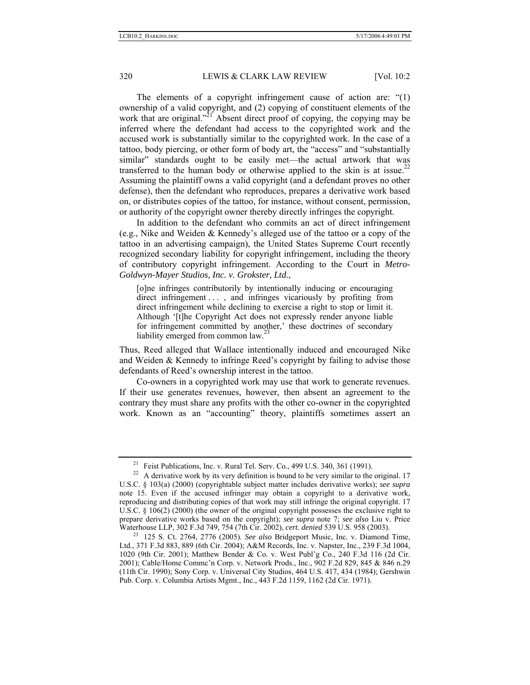The elements of a copyright infringement cause of action are: "(1) ownership of a valid copyright, and (2) copying of constituent elements of the work that are original."<sup>21</sup> Absent direct proof of copying, the copying may be inferred where the defendant had access to the copyrighted work and the accused work is substantially similar to the copyrighted work. In the case of a tattoo, body piercing, or other form of body art, the "access" and "substantially similar" standards ought to be easily met—the actual artwork that was transferred to the human body or otherwise applied to the skin is at issue.<sup>22</sup> Assuming the plaintiff owns a valid copyright (and a defendant proves no other defense), then the defendant who reproduces, prepares a derivative work based on, or distributes copies of the tattoo, for instance, without consent, permission, or authority of the copyright owner thereby directly infringes the copyright.

In addition to the defendant who commits an act of direct infringement (e.g., Nike and Weiden & Kennedy's alleged use of the tattoo or a copy of the tattoo in an advertising campaign), the United States Supreme Court recently recognized secondary liability for copyright infringement, including the theory of contributory copyright infringement. According to the Court in *Metro-Goldwyn-Mayer Studios, Inc. v. Grokster, Ltd.*,

[o]ne infringes contributorily by intentionally inducing or encouraging direct infringement . . . , and infringes vicariously by profiting from direct infringement while declining to exercise a right to stop or limit it. Although '[t]he Copyright Act does not expressly render anyone liable for infringement committed by another,' these doctrines of secondary liability emerged from common law.<sup>2</sup>

Thus, Reed alleged that Wallace intentionally induced and encouraged Nike and Weiden & Kennedy to infringe Reed's copyright by failing to advise those defendants of Reed's ownership interest in the tattoo.

Co-owners in a copyrighted work may use that work to generate revenues. If their use generates revenues, however, then absent an agreement to the contrary they must share any profits with the other co-owner in the copyrighted work. Known as an "accounting" theory, plaintiffs sometimes assert an

<sup>&</sup>lt;sup>21</sup> Feist Publications, Inc. v. Rural Tel. Serv. Co., 499 U.S. 340, 361 (1991).<br><sup>22</sup> A derivative work by its very definition is bound to be very similar to the original. 17 U.S.C. § 103(a) (2000) (copyrightable subject matter includes derivative works); *see supra* note 15. Even if the accused infringer may obtain a copyright to a derivative work, reproducing and distributing copies of that work may still infringe the original copyright. 17 U.S.C. § 106(2) (2000) (the owner of the original copyright possesses the exclusive right to prepare derivative works based on the copyright); *see supra* note 7; *see also* Liu v. Price Waterhouse LLP, 302 F.3d 749, 754 (7th Cir. 2002), *cert. denied* 539 U.S. 958 (2003). 23 125 S. Ct. 2764, 2776 (2005). *See also* Bridgeport Music, Inc. v. Diamond Time,

Ltd., 371 F.3d 883, 889 (6th Cir. 2004); A&M Records, Inc. v. Napster, Inc., 239 F.3d 1004, 1020 (9th Cir. 2001); Matthew Bender & Co. v. West Publ'g Co., 240 F.3d 116 (2d Cir. 2001); Cable/Home Commc'n Corp. v. Network Prods., Inc., 902 F.2d 829, 845 & 846 n.29 (11th Cir. 1990); Sony Corp. v. Universal City Studios, 464 U.S. 417, 434 (1984); Gershwin Pub. Corp. v. Columbia Artists Mgmt., Inc., 443 F.2d 1159, 1162 (2d Cir. 1971).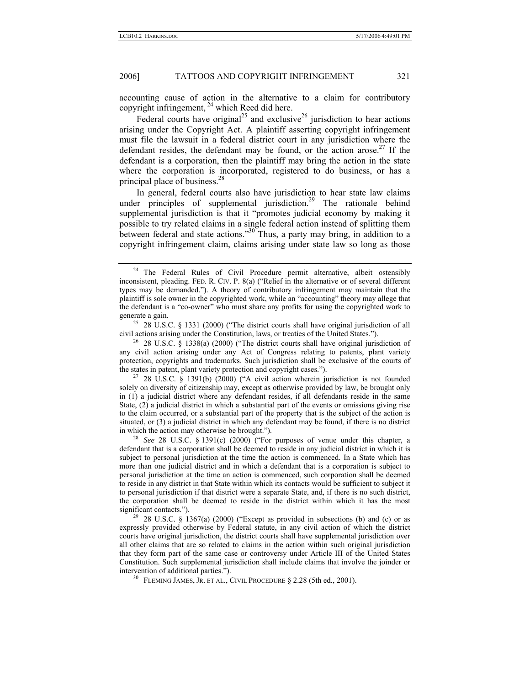accounting cause of action in the alternative to a claim for contributory copyright infringement,  $^{24}$  which Reed did here.

Federal courts have original<sup>25</sup> and exclusive<sup>26</sup> jurisdiction to hear actions arising under the Copyright Act. A plaintiff asserting copyright infringement must file the lawsuit in a federal district court in any jurisdiction where the defendant resides, the defendant may be found, or the action arose.<sup>27</sup> If the defendant is a corporation, then the plaintiff may bring the action in the state where the corporation is incorporated, registered to do business, or has a principal place of business.<sup>28</sup>

In general, federal courts also have jurisdiction to hear state law claims under principles of supplemental jurisdiction.<sup>29</sup> The rationale behind supplemental jurisdiction is that it "promotes judicial economy by making it possible to try related claims in a single federal action instead of splitting them between federal and state actions."30 Thus, a party may bring, in addition to a copyright infringement claim, claims arising under state law so long as those

civil actions arising under the Constitution, laws, or treaties of the United States."). <sup>26</sup> 28 U.S.C. § 1338(a) (2000) ("The district courts shall have original jurisdiction of

any civil action arising under any Act of Congress relating to patents, plant variety protection, copyrights and trademarks. Such jurisdiction shall be exclusive of the courts of the states in patent, plant variety protection and copyright cases.").

<sup>27</sup> 28 U.S.C. § 1391(b) (2000) ("A civil action wherein jurisdiction is not founded solely on diversity of citizenship may, except as otherwise provided by law, be brought only in (1) a judicial district where any defendant resides, if all defendants reside in the same State, (2) a judicial district in which a substantial part of the events or omissions giving rise to the claim occurred, or a substantial part of the property that is the subject of the action is situated, or (3) a judicial district in which any defendant may be found, if there is no district in which the action may otherwise be brought."). 28 *See* 28 U.S.C. § 1391(c) (2000) ("For purposes of venue under this chapter, a

defendant that is a corporation shall be deemed to reside in any judicial district in which it is subject to personal jurisdiction at the time the action is commenced. In a State which has more than one judicial district and in which a defendant that is a corporation is subject to personal jurisdiction at the time an action is commenced, such corporation shall be deemed to reside in any district in that State within which its contacts would be sufficient to subject it to personal jurisdiction if that district were a separate State, and, if there is no such district, the corporation shall be deemed to reside in the district within which it has the most

<sup>29</sup> 28 U.S.C. § 1367(a) (2000) ("Except as provided in subsections (b) and (c) or as expressly provided otherwise by Federal statute, in any civil action of which the district courts have original jurisdiction, the district courts shall have supplemental jurisdiction over all other claims that are so related to claims in the action within such original jurisdiction that they form part of the same case or controversy under Article III of the United States Constitution. Such supplemental jurisdiction shall include claims that involve the joinder or intervention of additional parties.").<br><sup>30</sup> FLEMING JAMES, JR. ET AL., CIVIL PROCEDURE § 2.28 (5th ed., 2001).

<sup>&</sup>lt;sup>24</sup> The Federal Rules of Civil Procedure permit alternative, albeit ostensibly inconsistent, pleading. FED. R. CIV. P. 8(a) ("Relief in the alternative or of several different types may be demanded."). A theory of contributory infringement may maintain that the plaintiff is sole owner in the copyrighted work, while an "accounting" theory may allege that the defendant is a "co-owner" who must share any profits for using the copyrighted work to generate a gain.<br><sup>25</sup> 28 U.S.C. § 1331 (2000) ("The district courts shall have original jurisdiction of all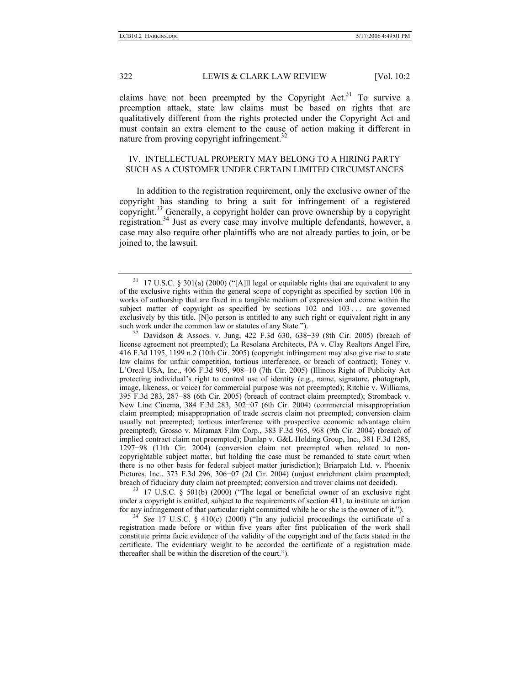claims have not been preempted by the Copyright Act.<sup>31</sup> To survive a preemption attack, state law claims must be based on rights that are qualitatively different from the rights protected under the Copyright Act and must contain an extra element to the cause of action making it different in nature from proving copyright infringement. $32$ 

# IV. INTELLECTUAL PROPERTY MAY BELONG TO A HIRING PARTY SUCH AS A CUSTOMER UNDER CERTAIN LIMITED CIRCUMSTANCES

In addition to the registration requirement, only the exclusive owner of the copyright has standing to bring a suit for infringement of a registered copyright.<sup>33</sup> Generally, a copyright holder can prove ownership by a copyright registration.34 Just as every case may involve multiple defendants, however, a case may also require other plaintiffs who are not already parties to join, or be joined to, the lawsuit.

under a copyright is entitled, subject to the requirements of section 411, to institute an action for any infringement of that particular right committed while he or she is the owner of it.").

 $f^{34}$  See 17 U.S.C. § 410(c) (2000) ("In any judicial proceedings the certificate of a registration made before or within five years after first publication of the work shall constitute prima facie evidence of the validity of the copyright and of the facts stated in the certificate. The evidentiary weight to be accorded the certificate of a registration made thereafter shall be within the discretion of the court.").

 $31$  17 U.S.C. § 301(a) (2000) ("[A]ll legal or equitable rights that are equivalent to any of the exclusive rights within the general scope of copyright as specified by section 106 in works of authorship that are fixed in a tangible medium of expression and come within the subject matter of copyright as specified by sections  $102$  and  $103...$  are governed exclusively by this title. [N]o person is entitled to any such right or equivalent right in any such work under the common law or statutes of any State.").<br><sup>32</sup> Davidson & Assocs. v. Jung, 422 F.3d 630, 638−39 (8th Cir. 2005) (breach of

license agreement not preempted); La Resolana Architects, PA v. Clay Realtors Angel Fire, 416 F.3d 1195, 1199 n.2 (10th Cir. 2005) (copyright infringement may also give rise to state law claims for unfair competition, tortious interference, or breach of contract); Toney v. L'Oreal USA, Inc., 406 F.3d 905, 908−10 (7th Cir. 2005) (Illinois Right of Publicity Act protecting individual's right to control use of identity (e.g., name, signature, photograph, image, likeness, or voice) for commercial purpose was not preempted); Ritchie v. Williams, 395 F.3d 283, 287−88 (6th Cir. 2005) (breach of contract claim preempted); Stromback v. New Line Cinema, 384 F.3d 283, 302−07 (6th Cir. 2004) (commercial misappropriation claim preempted; misappropriation of trade secrets claim not preempted; conversion claim usually not preempted; tortious interference with prospective economic advantage claim preempted); Grosso v. Miramax Film Corp., 383 F.3d 965, 968 (9th Cir. 2004) (breach of implied contract claim not preempted); Dunlap v. G&L Holding Group, Inc., 381 F.3d 1285, 1297−98 (11th Cir. 2004) (conversion claim not preempted when related to noncopyrightable subject matter, but holding the case must be remanded to state court when there is no other basis for federal subject matter jurisdiction); Briarpatch Ltd. v. Phoenix Pictures, Inc., 373 F.3d 296, 306−07 (2d Cir. 2004) (unjust enrichment claim preempted; breach of fiduciary duty claim not preempted; conversion and trover claims not decided).<br><sup>33</sup> 17 U.S.C. § 501(b) (2000) ("The legal or beneficial owner of an exclusive right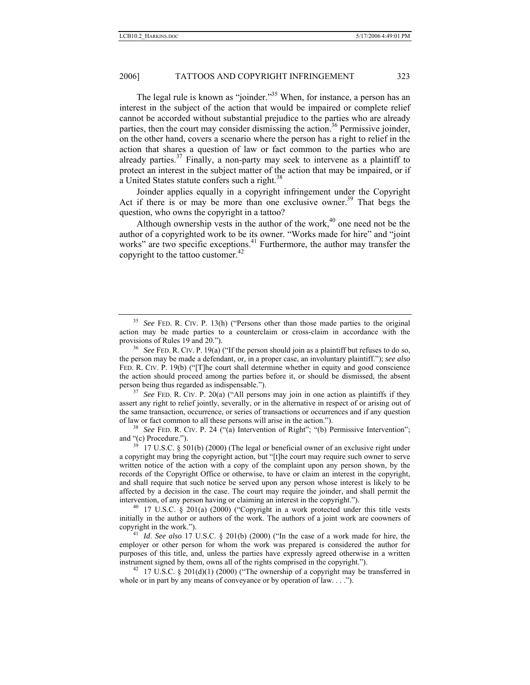The legal rule is known as "joinder."<sup>35</sup> When, for instance, a person has an interest in the subject of the action that would be impaired or complete relief cannot be accorded without substantial prejudice to the parties who are already parties, then the court may consider dismissing the action.<sup>36</sup> Permissive joinder, on the other hand, covers a scenario where the person has a right to relief in the action that shares a question of law or fact common to the parties who are already parties.<sup>37</sup> Finally, a non-party may seek to intervene as a plaintiff to protect an interest in the subject matter of the action that may be impaired, or if a United States statute confers such a right.<sup>38</sup>

Joinder applies equally in a copyright infringement under the Copyright Act if there is or may be more than one exclusive owner.<sup>39</sup> That begs the question, who owns the copyright in a tattoo?

Although ownership vests in the author of the work, $40$  one need not be the author of a copyrighted work to be its owner. "Works made for hire" and "joint works" are two specific exceptions.<sup>41</sup> Furthermore, the author may transfer the copyright to the tattoo customer. $42$ 

assert any right to relief jointly, severally, or in the alternative in respect of or arising out of the same transaction, occurrence, or series of transactions or occurrences and if any question of law or fact common to all these persons will arise in the action.").<br><sup>38</sup> *See* FED. R. CIV. P. 24 ("(a) Intervention of Right"; "(b) Permissive Intervention";

and "(c) Procedure.").<br> $39 \quad 17 \text{ U.S.C. }$  § 501(b) (2000) (The legal or beneficial owner of an exclusive right under

a copyright may bring the copyright action, but "[t]he court may require such owner to serve written notice of the action with a copy of the complaint upon any person shown, by the records of the Copyright Office or otherwise, to have or claim an interest in the copyright, and shall require that such notice be served upon any person whose interest is likely to be affected by a decision in the case. The court may require the joinder, and shall permit the intervention, of any person having or claiming an interest in the copyright.").  $40 \t 17 \t U.S.C. § 201(a) (2000)$  ("Copyright in a work protected under this title vests

initially in the author or authors of the work. The authors of a joint work are coowners of copyright in the work.").

<sup>41</sup> *Id. See also* 17 U.S.C. § 201(b) (2000) ("In the case of a work made for hire, the employer or other person for whom the work was prepared is considered the author for purposes of this title, and, unless the parties have expressly agreed otherwise in a written instrument signed by them, owns all of the rights comprised in the copyright.").<br> $^{42}$  17 U.S.C. § 201(d)(1) (2000) ("The ownership of a copyright may be transferred in

whole or in part by any means of conveyance or by operation of law. . . .").

<sup>35</sup> *See* FED. R. CIV. P. 13(h) ("Persons other than those made parties to the original action may be made parties to a counterclaim or cross-claim in accordance with the provisions of Rules 19 and 20.").<br><sup>36</sup> *See* FED. R. CIV. P. 19(a) ("If the person should join as a plaintiff but refuses to do so,

the person may be made a defendant, or, in a proper case, an involuntary plaintiff."); *see also* FED. R. CIV. P. 19(b) ("[T]he court shall determine whether in equity and good conscience the action should proceed among the parties before it, or should be dismissed, the absent person being thus regarded as indispensable.").<br><sup>37</sup> *See* FED. R. CIV. P. 20(a) ("All persons may join in one action as plaintiffs if they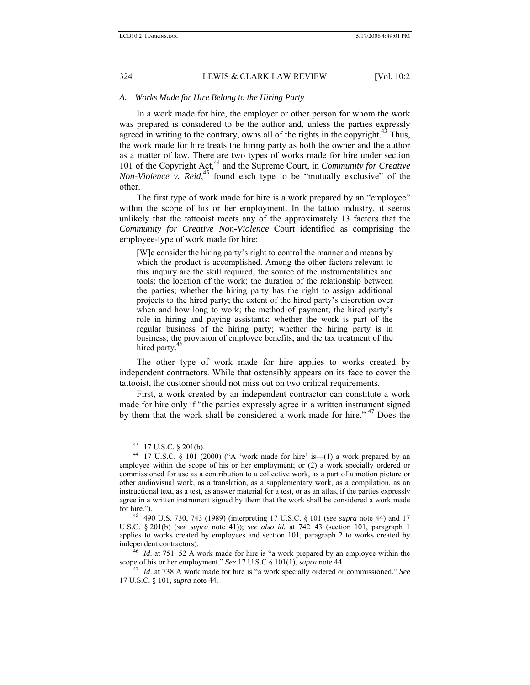*A. Works Made for Hire Belong to the Hiring Party* 

In a work made for hire, the employer or other person for whom the work was prepared is considered to be the author and, unless the parties expressly agreed in writing to the contrary, owns all of the rights in the copyright.<sup>43</sup> Thus, the work made for hire treats the hiring party as both the owner and the author as a matter of law. There are two types of works made for hire under section 101 of the Copyright Act,<sup>44</sup> and the Supreme Court, in *Community for Creative Non-Violence v. Reid*<sup>45</sup> found each type to be "mutually exclusive" of the other.

The first type of work made for hire is a work prepared by an "employee" within the scope of his or her employment. In the tattoo industry, it seems unlikely that the tattooist meets any of the approximately 13 factors that the *Community for Creative Non-Violence* Court identified as comprising the employee-type of work made for hire:

[W]e consider the hiring party's right to control the manner and means by which the product is accomplished. Among the other factors relevant to this inquiry are the skill required; the source of the instrumentalities and tools; the location of the work; the duration of the relationship between the parties; whether the hiring party has the right to assign additional projects to the hired party; the extent of the hired party's discretion over when and how long to work; the method of payment; the hired party's role in hiring and paying assistants; whether the work is part of the regular business of the hiring party; whether the hiring party is in business; the provision of employee benefits; and the tax treatment of the hired party. $46$ 

The other type of work made for hire applies to works created by independent contractors. While that ostensibly appears on its face to cover the tattooist, the customer should not miss out on two critical requirements.

First, a work created by an independent contractor can constitute a work made for hire only if "the parties expressly agree in a written instrument signed by them that the work shall be considered a work made for hire."<sup>47</sup> Does the

independent contractors). 46 *Id*. at 751−52 A work made for hire is "a work prepared by an employee within the

<sup>&</sup>lt;sup>43</sup> 17 U.S.C. § 201(b).<br><sup>44</sup> 17 U.S.C. § 101 (2000) ("A 'work made for hire' is—(1) a work prepared by an employee within the scope of his or her employment; or (2) a work specially ordered or commissioned for use as a contribution to a collective work, as a part of a motion picture or other audiovisual work, as a translation, as a supplementary work, as a compilation, as an instructional text, as a test, as answer material for a test, or as an atlas, if the parties expressly agree in a written instrument signed by them that the work shall be considered a work made for hire."). 45 490 U.S. 730, 743 (1989) (interpreting 17 U.S.C. § 101 (*see supra* note 44) and 17

U.S.C. § 201(b) (*see supra* note 41)); *see also id.* at 742−43 (section 101, paragraph 1 applies to works created by employees and section 101, paragraph 2 to works created by

<sup>&</sup>lt;sup>47</sup> *Id.* at 738 A work made for hire is "a work specially ordered or commissioned." See 17 U.S.C. § 101, *supra* note 44.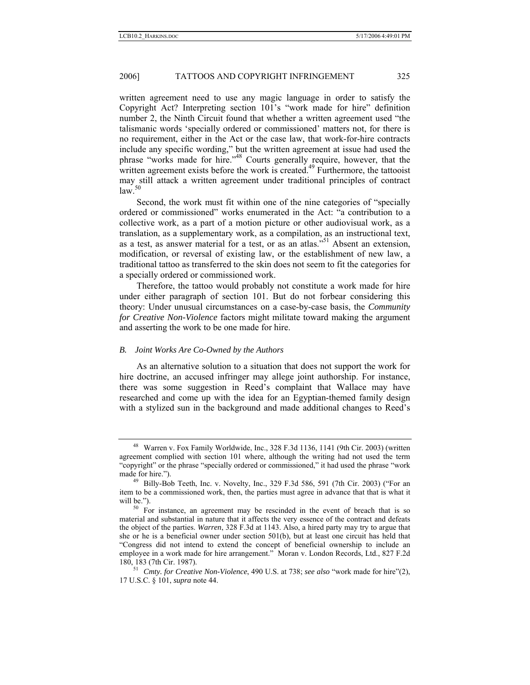written agreement need to use any magic language in order to satisfy the Copyright Act? Interpreting section 101's "work made for hire" definition number 2, the Ninth Circuit found that whether a written agreement used "the talismanic words 'specially ordered or commissioned' matters not, for there is no requirement, either in the Act or the case law, that work-for-hire contracts include any specific wording," but the written agreement at issue had used the phrase "works made for hire."48 Courts generally require, however, that the written agreement exists before the work is created.<sup>49</sup> Furthermore, the tattooist may still attack a written agreement under traditional principles of contract  $law.<sup>50</sup>$ 

Second, the work must fit within one of the nine categories of "specially ordered or commissioned" works enumerated in the Act: "a contribution to a collective work, as a part of a motion picture or other audiovisual work, as a translation, as a supplementary work, as a compilation, as an instructional text, as a test, as answer material for a test, or as an atlas."<sup>51</sup> Absent an extension, modification, or reversal of existing law, or the establishment of new law, a traditional tattoo as transferred to the skin does not seem to fit the categories for a specially ordered or commissioned work.

Therefore, the tattoo would probably not constitute a work made for hire under either paragraph of section 101. But do not forbear considering this theory: Under unusual circumstances on a case-by-case basis, the *Community for Creative Non-Violence* factors might militate toward making the argument and asserting the work to be one made for hire.

#### *B. Joint Works Are Co-Owned by the Authors*

As an alternative solution to a situation that does not support the work for hire doctrine, an accused infringer may allege joint authorship. For instance, there was some suggestion in Reed's complaint that Wallace may have researched and come up with the idea for an Egyptian-themed family design with a stylized sun in the background and made additional changes to Reed's

<sup>48</sup> Warren v. Fox Family Worldwide, Inc., 328 F.3d 1136, 1141 (9th Cir. 2003) (written agreement complied with section 101 where, although the writing had not used the term "copyright" or the phrase "specially ordered or commissioned," it had used the phrase "work made for hire.").<br><sup>49</sup> Billy-Bob Teeth, Inc. v. Novelty, Inc., 329 F.3d 586, 591 (7th Cir. 2003) ("For an

item to be a commissioned work, then, the parties must agree in advance that that is what it

will be.").  $50^{50}$  For instance, an agreement may be rescinded in the event of breach that is so material and substantial in nature that it affects the very essence of the contract and defeats the object of the parties. *Warren*, 328 F.3d at 1143. Also, a hired party may try to argue that she or he is a beneficial owner under section 501(b), but at least one circuit has held that "Congress did not intend to extend the concept of beneficial ownership to include an employee in a work made for hire arrangement." Moran v. London Records, Ltd., 827 F.2d 180, 183 (7th Cir. 1987). 51 *Cmty. for Creative Non-Violence*, 490 U.S. at 738; *see also* "work made for hire"(2),

<sup>17</sup> U.S.C. § 101, *supra* note 44.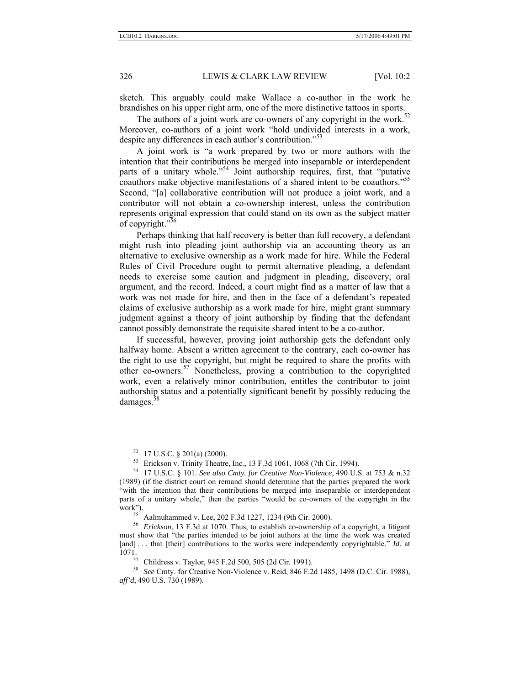sketch. This arguably could make Wallace a co-author in the work he brandishes on his upper right arm, one of the more distinctive tattoos in sports.

The authors of a joint work are co-owners of any copyright in the work.<sup>52</sup> Moreover, co-authors of a joint work "hold undivided interests in a work, despite any differences in each author's contribution."<sup>53</sup>

A joint work is "a work prepared by two or more authors with the intention that their contributions be merged into inseparable or interdependent parts of a unitary whole."<sup>54</sup> Joint authorship requires, first, that "putative coauthors make objective manifestations of a shared intent to be coauthors.<sup>555</sup> Second, "[a] collaborative contribution will not produce a joint work, and a contributor will not obtain a co-ownership interest, unless the contribution represents original expression that could stand on its own as the subject matter of copyright."<sup>56</sup>

Perhaps thinking that half recovery is better than full recovery, a defendant might rush into pleading joint authorship via an accounting theory as an alternative to exclusive ownership as a work made for hire. While the Federal Rules of Civil Procedure ought to permit alternative pleading, a defendant needs to exercise some caution and judgment in pleading, discovery, oral argument, and the record. Indeed, a court might find as a matter of law that a work was not made for hire, and then in the face of a defendant's repeated claims of exclusive authorship as a work made for hire, might grant summary judgment against a theory of joint authorship by finding that the defendant cannot possibly demonstrate the requisite shared intent to be a co-author.

If successful, however, proving joint authorship gets the defendant only halfway home. Absent a written agreement to the contrary, each co-owner has the right to use the copyright, but might be required to share the profits with other co-owners.57 Nonetheless, proving a contribution to the copyrighted work, even a relatively minor contribution, entitles the contributor to joint authorship status and a potentially significant benefit by possibly reducing the damages.<sup>58</sup>

<sup>52</sup> 17 U.S.C. § 201(a) (2000). 53 Erickson v. Trinity Theatre, Inc., 13 F.3d 1061, 1068 (7th Cir. 1994). 54 17 U.S.C. § 101. *See also Cmty. for Creative Non-Violence*, 490 U.S. at 753 & n.32 (1989) (if the district court on remand should determine that the parties prepared the work "with the intention that their contributions be merged into inseparable or interdependent parts of a unitary whole," then the parties "would be co-owners of the copyright in the

work"). 55 Aalmuhammed v. Lee, 202 F.3d 1227, 1234 (9th Cir. 2000). 56 *Erickson*, 13 F.3d at 1070. Thus, to establish co-ownership of a copyright, a litigant must show that "the parties intended to be joint authors at the time the work was created [and] . . . that [their] contributions to the works were independently copyrightable." *Id*. at 1071. 57 Childress v. Taylor, 945 F.2d 500, 505 (2d Cir. 1991). 58 *See* Cmty. for Creative Non-Violence v. Reid, 846 F.2d 1485, 1498 (D.C. Cir. 1988),

*aff'd*, 490 U.S. 730 (1989).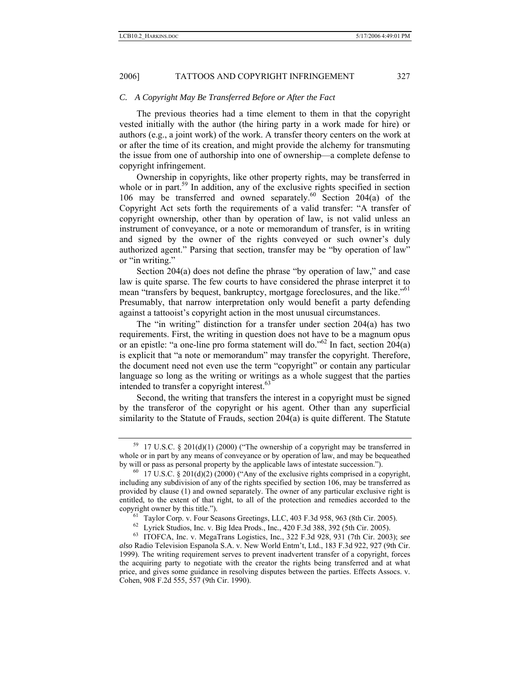#### *C. A Copyright May Be Transferred Before or After the Fact*

The previous theories had a time element to them in that the copyright vested initially with the author (the hiring party in a work made for hire) or authors (e.g., a joint work) of the work. A transfer theory centers on the work at or after the time of its creation, and might provide the alchemy for transmuting the issue from one of authorship into one of ownership—a complete defense to copyright infringement.

Ownership in copyrights, like other property rights, may be transferred in whole or in part.<sup>59</sup> In addition, any of the exclusive rights specified in section 106 may be transferred and owned separately.<sup>60</sup> Section 204(a) of the Copyright Act sets forth the requirements of a valid transfer: "A transfer of copyright ownership, other than by operation of law, is not valid unless an instrument of conveyance, or a note or memorandum of transfer, is in writing and signed by the owner of the rights conveyed or such owner's duly authorized agent." Parsing that section, transfer may be "by operation of law" or "in writing."

Section 204(a) does not define the phrase "by operation of law," and case law is quite sparse. The few courts to have considered the phrase interpret it to mean "transfers by bequest, bankruptcy, mortgage foreclosures, and the like."<sup>61</sup> Presumably, that narrow interpretation only would benefit a party defending against a tattooist's copyright action in the most unusual circumstances.

The "in writing" distinction for a transfer under section 204(a) has two requirements. First, the writing in question does not have to be a magnum opus or an epistle: "a one-line pro forma statement will do."<sup>62</sup> In fact, section  $204(a)$ is explicit that "a note or memorandum" may transfer the copyright. Therefore, the document need not even use the term "copyright" or contain any particular language so long as the writing or writings as a whole suggest that the parties intended to transfer a copyright interest.<sup>63</sup>

Second, the writing that transfers the interest in a copyright must be signed by the transferor of the copyright or his agent. Other than any superficial similarity to the Statute of Frauds, section 204(a) is quite different. The Statute

<sup>&</sup>lt;sup>59</sup> 17 U.S.C. § 201(d)(1) (2000) ("The ownership of a copyright may be transferred in whole or in part by any means of conveyance or by operation of law, and may be bequeathed by will or pass as personal property by the applicable laws of intestate succession."). <sup>60</sup> 17 U.S.C. § 201(d)(2) (2000) ("Any of the exclusive rights comprised in a copyright,

including any subdivision of any of the rights specified by section 106, may be transferred as provided by clause (1) and owned separately. The owner of any particular exclusive right is entitled, to the extent of that right, to all of the protection and remedies accorded to the copyright owner by this title.").<br>
<sup>61</sup> Taylor Corp. v. Four Seasons Greetings, LLC, 403 F.3d 958, 963 (8th Cir. 2005).<br>
<sup>62</sup> Lyrick Studios, Inc. v. Big Idea Prods., Inc., 420 F.3d 388, 392 (5th Cir. 2005).<br>
<sup>63</sup> ITOFCA,

*also* Radio Television Espanola S.A. v. New World Entm't, Ltd., 183 F.3d 922, 927 (9th Cir. 1999). The writing requirement serves to prevent inadvertent transfer of a copyright, forces the acquiring party to negotiate with the creator the rights being transferred and at what price, and gives some guidance in resolving disputes between the parties. Effects Assocs. v. Cohen, 908 F.2d 555, 557 (9th Cir. 1990).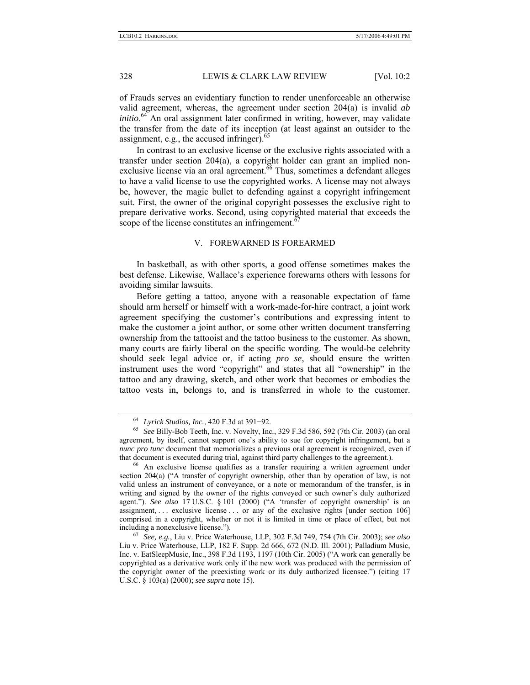of Frauds serves an evidentiary function to render unenforceable an otherwise valid agreement, whereas, the agreement under section 204(a) is invalid *ab initio*.<sup>64</sup> An oral assignment later confirmed in writing, however, may validate the transfer from the date of its inception (at least against an outsider to the assignment, e.g., the accused infringer). $65$ 

In contrast to an exclusive license or the exclusive rights associated with a transfer under section 204(a), a copyright holder can grant an implied nonexclusive license via an oral agreement.<sup>66</sup> Thus, sometimes a defendant alleges to have a valid license to use the copyrighted works. A license may not always be, however, the magic bullet to defending against a copyright infringement suit. First, the owner of the original copyright possesses the exclusive right to prepare derivative works. Second, using copyrighted material that exceeds the scope of the license constitutes an infringement.<sup>67</sup>

# V. FOREWARNED IS FOREARMED

In basketball, as with other sports, a good offense sometimes makes the best defense. Likewise, Wallace's experience forewarns others with lessons for avoiding similar lawsuits.

Before getting a tattoo, anyone with a reasonable expectation of fame should arm herself or himself with a work-made-for-hire contract, a joint work agreement specifying the customer's contributions and expressing intent to make the customer a joint author, or some other written document transferring ownership from the tattooist and the tattoo business to the customer. As shown, many courts are fairly liberal on the specific wording. The would-be celebrity should seek legal advice or, if acting *pro se*, should ensure the written instrument uses the word "copyright" and states that all "ownership" in the tattoo and any drawing, sketch, and other work that becomes or embodies the tattoo vests in, belongs to, and is transferred in whole to the customer.

<sup>64</sup> *Lyrick Studios, Inc.*, 420 F.3d at 391−92. 65 *See* Billy-Bob Teeth, Inc. v. Novelty, Inc*.*, 329 F.3d 586, 592 (7th Cir. 2003) (an oral agreement, by itself, cannot support one's ability to sue for copyright infringement, but a *nunc pro tunc* document that memorializes a previous oral agreement is recognized, even if that document is executed during trial, against third party challenges to the agreement.).<br><sup>66</sup> An exclusive license qualifies as a transfer requiring a written agreement under

section 204(a) ("A transfer of copyright ownership, other than by operation of law, is not valid unless an instrument of conveyance, or a note or memorandum of the transfer, is in writing and signed by the owner of the rights conveyed or such owner's duly authorized agent."). *See also* 17 U.S.C. § 101 (2000) ("A 'transfer of copyright ownership' is an assignment, ... exclusive license ... or any of the exclusive rights [under section 106] comprised in a copyright, whether or not it is limited in time or place of effect, but not including a nonexclusive license."). 67 *See, e.g.*, Liu v. Price Waterhouse, LLP, 302 F.3d 749, 754 (7th Cir. 2003); *see also* 

Liu v. Price Waterhouse, LLP, 182 F. Supp. 2d 666, 672 (N.D. Ill. 2001); Palladium Music, Inc. v. EatSleepMusic, Inc., 398 F.3d 1193, 1197 (10th Cir. 2005) ("A work can generally be copyrighted as a derivative work only if the new work was produced with the permission of the copyright owner of the preexisting work or its duly authorized licensee.") (citing 17 U.S.C. § 103(a) (2000); *see supra* note 15).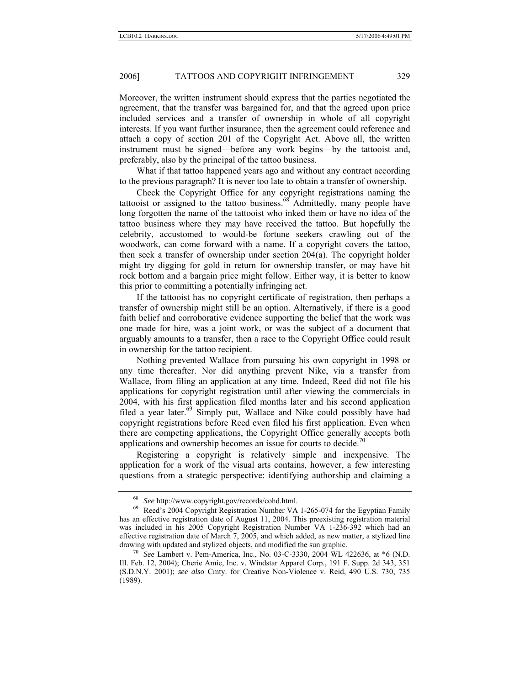Moreover, the written instrument should express that the parties negotiated the agreement, that the transfer was bargained for, and that the agreed upon price included services and a transfer of ownership in whole of all copyright interests. If you want further insurance, then the agreement could reference and attach a copy of section 201 of the Copyright Act. Above all, the written instrument must be signed—before any work begins—by the tattooist and, preferably, also by the principal of the tattoo business.

What if that tattoo happened years ago and without any contract according to the previous paragraph? It is never too late to obtain a transfer of ownership.

Check the Copyright Office for any copyright registrations naming the tattooist or assigned to the tattoo business.68 Admittedly, many people have long forgotten the name of the tattooist who inked them or have no idea of the tattoo business where they may have received the tattoo. But hopefully the celebrity, accustomed to would-be fortune seekers crawling out of the woodwork, can come forward with a name. If a copyright covers the tattoo, then seek a transfer of ownership under section 204(a). The copyright holder might try digging for gold in return for ownership transfer, or may have hit rock bottom and a bargain price might follow. Either way, it is better to know this prior to committing a potentially infringing act.

If the tattooist has no copyright certificate of registration, then perhaps a transfer of ownership might still be an option. Alternatively, if there is a good faith belief and corroborative evidence supporting the belief that the work was one made for hire, was a joint work, or was the subject of a document that arguably amounts to a transfer, then a race to the Copyright Office could result in ownership for the tattoo recipient.

Nothing prevented Wallace from pursuing his own copyright in 1998 or any time thereafter. Nor did anything prevent Nike, via a transfer from Wallace, from filing an application at any time. Indeed, Reed did not file his applications for copyright registration until after viewing the commercials in 2004, with his first application filed months later and his second application filed a year later.<sup>69</sup> Simply put, Wallace and Nike could possibly have had copyright registrations before Reed even filed his first application. Even when there are competing applications, the Copyright Office generally accepts both applications and ownership becomes an issue for courts to decide.<sup>70</sup>

Registering a copyright is relatively simple and inexpensive. The application for a work of the visual arts contains, however, a few interesting questions from a strategic perspective: identifying authorship and claiming a

<sup>&</sup>lt;sup>68</sup> *See* http://www.copyright.gov/records/cohd.html.<br><sup>69</sup> Reed's 2004 Copyright Registration Number VA 1-265-074 for the Egyptian Family has an effective registration date of August 11, 2004. This preexisting registration material was included in his 2005 Copyright Registration Number VA 1-236-392 which had an effective registration date of March 7, 2005, and which added, as new matter, a stylized line drawing with updated and stylized objects, and modified the sun graphic. 70 *See* Lambert v. Pem-America, Inc., No. 03-C-3330, 2004 WL 422636, at \*6 (N.D.

Ill. Feb. 12, 2004); Cherie Amie, Inc. v. Windstar Apparel Corp., 191 F. Supp. 2d 343, 351 (S.D.N.Y. 2001); *see also* Cmty. for Creative Non-Violence v. Reid, 490 U.S. 730, 735 (1989).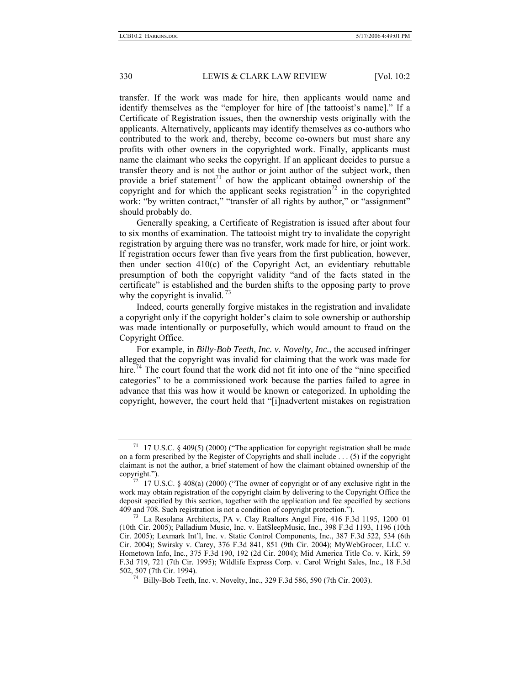transfer. If the work was made for hire, then applicants would name and identify themselves as the "employer for hire of [the tattooist's name]." If a Certificate of Registration issues, then the ownership vests originally with the applicants. Alternatively, applicants may identify themselves as co-authors who contributed to the work and, thereby, become co-owners but must share any profits with other owners in the copyrighted work. Finally, applicants must name the claimant who seeks the copyright. If an applicant decides to pursue a transfer theory and is not the author or joint author of the subject work, then provide a brief statement<sup>71</sup> of how the applicant obtained ownership of the copyright and for which the applicant seeks registration<sup>72</sup> in the copyrighted work: "by written contract," "transfer of all rights by author," or "assignment" should probably do.

Generally speaking, a Certificate of Registration is issued after about four to six months of examination. The tattooist might try to invalidate the copyright registration by arguing there was no transfer, work made for hire, or joint work. If registration occurs fewer than five years from the first publication, however, then under section 410(c) of the Copyright Act, an evidentiary rebuttable presumption of both the copyright validity "and of the facts stated in the certificate" is established and the burden shifts to the opposing party to prove why the copyright is invalid.  $\frac{73}{2}$ 

Indeed, courts generally forgive mistakes in the registration and invalidate a copyright only if the copyright holder's claim to sole ownership or authorship was made intentionally or purposefully, which would amount to fraud on the Copyright Office.

For example, in *Billy-Bob Teeth, Inc. v. Novelty, Inc.*, the accused infringer alleged that the copyright was invalid for claiming that the work was made for hire.<sup>74</sup> The court found that the work did not fit into one of the "nine specified" categories" to be a commissioned work because the parties failed to agree in advance that this was how it would be known or categorized. In upholding the copyright, however, the court held that "[i]nadvertent mistakes on registration

<sup>&</sup>lt;sup>71</sup> 17 U.S.C. § 409(5) (2000) ("The application for copyright registration shall be made on a form prescribed by the Register of Copyrights and shall include . . . (5) if the copyright claimant is not the author, a brief statement of how the claimant obtained ownership of the copyright.").  $^{72}$  17 U.S.C. § 408(a) (2000) ("The owner of copyright or of any exclusive right in the

work may obtain registration of the copyright claim by delivering to the Copyright Office the deposit specified by this section, together with the application and fee specified by sections 409 and 708. Such registration is not a condition of copyright protection.").

 $^{73}$  La Resolana Architects, PA v. Clay Realtors Angel Fire, 416 F.3d 1195, 1200–01 (10th Cir. 2005); Palladium Music, Inc. v. EatSleepMusic, Inc., 398 F.3d 1193, 1196 (10th Cir. 2005); Lexmark Int'l, Inc. v. Static Control Components, Inc., 387 F.3d 522, 534 (6th Cir. 2004); Swirsky v. Carey, 376 F.3d 841, 851 (9th Cir. 2004); MyWebGrocer, LLC v. Hometown Info, Inc., 375 F.3d 190, 192 (2d Cir. 2004); Mid America Title Co. v. Kirk, 59 F.3d 719, 721 (7th Cir. 1995); Wildlife Express Corp. v. Carol Wright Sales, Inc., 18 F.3d

<sup>&</sup>lt;sup>74</sup> Billy-Bob Teeth, Inc. v. Novelty, Inc., 329 F.3d 586, 590 (7th Cir. 2003).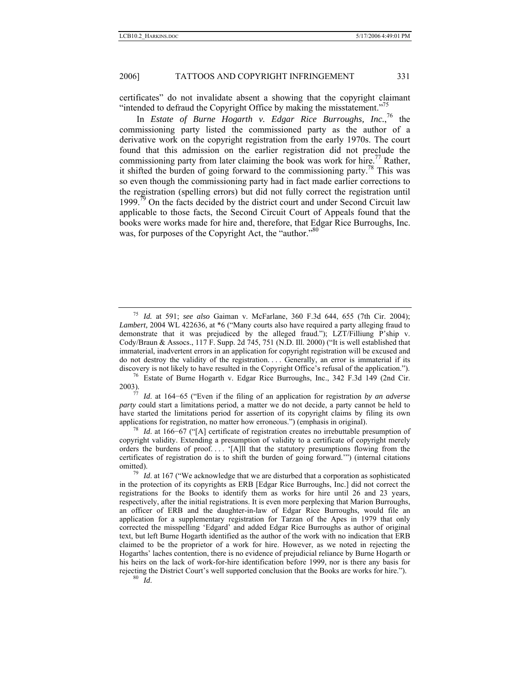certificates" do not invalidate absent a showing that the copyright claimant "intended to defraud the Copyright Office by making the misstatement."<sup>75</sup>

In *Estate of Burne Hogarth v. Edgar Rice Burroughs, Inc.*, 76 the commissioning party listed the commissioned party as the author of a derivative work on the copyright registration from the early 1970s. The court found that this admission on the earlier registration did not preclude the commissioning party from later claiming the book was work for hire.<sup>77</sup> Rather, it shifted the burden of going forward to the commissioning party.78 This was so even though the commissioning party had in fact made earlier corrections to the registration (spelling errors) but did not fully correct the registration until 1999.<sup>79</sup> On the facts decided by the district court and under Second Circuit law applicable to those facts, the Second Circuit Court of Appeals found that the books were works made for hire and, therefore, that Edgar Rice Burroughs, Inc. was, for purposes of the Copyright Act, the "author."<sup>80</sup>

<sup>75</sup> *Id.* at 591; *see also* Gaiman v. McFarlane, 360 F.3d 644, 655 (7th Cir. 2004); *Lambert,* 2004 WL 422636, at \*6 ("Many courts also have required a party alleging fraud to demonstrate that it was prejudiced by the alleged fraud."); LZT/Filliung P'ship v. Cody/Braun & Assocs., 117 F. Supp. 2d 745, 751 (N.D. Ill. 2000) ("It is well established that immaterial, inadvertent errors in an application for copyright registration will be excused and do not destroy the validity of the registration. . . . Generally, an error is immaterial if its discovery is not likely to have resulted in the Copyright Office's refusal of the application."). <sup>76</sup> Estate of Burne Hogarth v. Edgar Rice Burroughs, Inc., 342 F.3d 149 (2nd Cir.

<sup>2003). 77</sup> *Id*. at 164−65 ("Even if the filing of an application for registration *by an adverse* 

*party* could start a limitations period, a matter we do not decide, a party cannot be held to have started the limitations period for assertion of its copyright claims by filing its own applications for registration, no matter how erroneous.") (emphasis in original). 78 *Id*. at 166−67 ("[A] certificate of registration creates no irrebuttable presumption of

copyright validity. Extending a presumption of validity to a certificate of copyright merely orders the burdens of proof. . . . '[A]ll that the statutory presumptions flowing from the certificates of registration do is to shift the burden of going forward.'") (internal citations omitted).<br><sup>79</sup> *Id.* at 167 ("We acknowledge that we are disturbed that a corporation as sophisticated

in the protection of its copyrights as ERB [Edgar Rice Burroughs, Inc.] did not correct the registrations for the Books to identify them as works for hire until 26 and 23 years, respectively, after the initial registrations. It is even more perplexing that Marion Burroughs, an officer of ERB and the daughter-in-law of Edgar Rice Burroughs, would file an application for a supplementary registration for Tarzan of the Apes in 1979 that only corrected the misspelling 'Edgard' and added Edgar Rice Burroughs as author of original text, but left Burne Hogarth identified as the author of the work with no indication that ERB claimed to be the proprietor of a work for hire. However, as we noted in rejecting the Hogarths' laches contention, there is no evidence of prejudicial reliance by Burne Hogarth or his heirs on the lack of work-for-hire identification before 1999, nor is there any basis for rejecting the District Court's well supported conclusion that the Books are works for hire."). 80 *Id*.